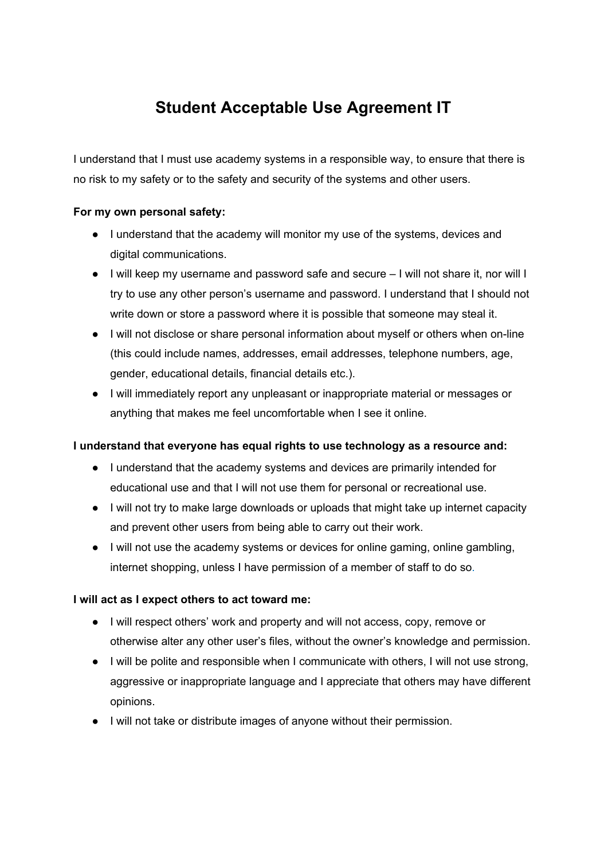# **Student Acceptable Use Agreement IT**

I understand that I must use academy systems in a responsible way, to ensure that there is no risk to my safety or to the safety and security of the systems and other users.

#### **For my own personal safety:**

- I understand that the academy will monitor my use of the systems, devices and digital communications.
- I will keep my username and password safe and secure I will not share it, nor will I try to use any other person's username and password. I understand that I should not write down or store a password where it is possible that someone may steal it.
- I will not disclose or share personal information about myself or others when on-line (this could include names, addresses, email addresses, telephone numbers, age, gender, educational details, financial details etc.).
- I will immediately report any unpleasant or inappropriate material or messages or anything that makes me feel uncomfortable when I see it online.

## **I understand that everyone has equal rights to use technology as a resource and:**

- I understand that the academy systems and devices are primarily intended for educational use and that I will not use them for personal or recreational use.
- I will not try to make large downloads or uploads that might take up internet capacity and prevent other users from being able to carry out their work.
- I will not use the academy systems or devices for online gaming, online gambling, internet shopping, unless I have permission of a member of staff to do so.

## **I will act as I expect others to act toward me:**

- I will respect others' work and property and will not access, copy, remove or otherwise alter any other user's files, without the owner's knowledge and permission.
- I will be polite and responsible when I communicate with others, I will not use strong, aggressive or inappropriate language and I appreciate that others may have different opinions.
- I will not take or distribute images of anyone without their permission.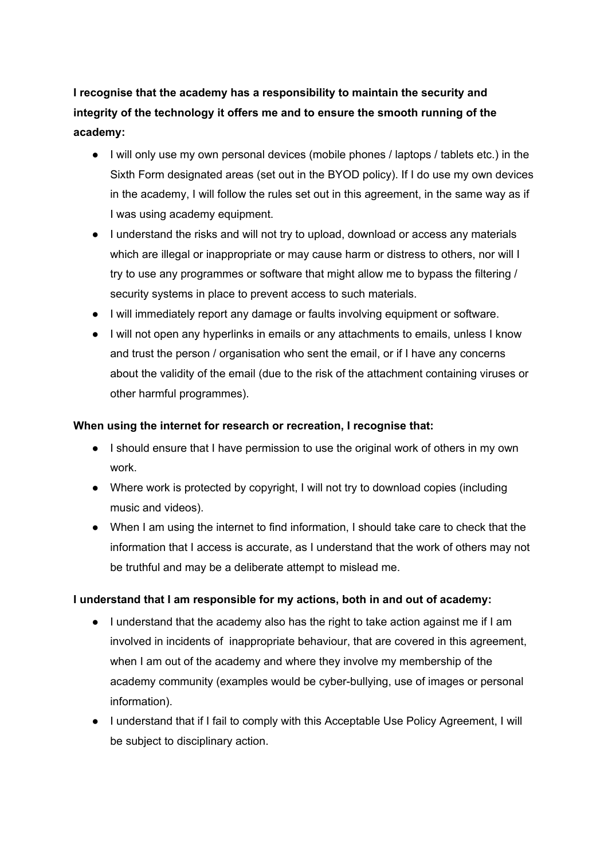**I recognise that the academy has a responsibility to maintain the security and integrity of the technology it offers me and to ensure the smooth running of the academy:**

- I will only use my own personal devices (mobile phones / laptops / tablets etc.) in the Sixth Form designated areas (set out in the BYOD policy). If I do use my own devices in the academy, I will follow the rules set out in this agreement, in the same way as if I was using academy equipment.
- I understand the risks and will not try to upload, download or access any materials which are illegal or inappropriate or may cause harm or distress to others, nor will I try to use any programmes or software that might allow me to bypass the filtering / security systems in place to prevent access to such materials.
- I will immediately report any damage or faults involving equipment or software.
- I will not open any hyperlinks in emails or any attachments to emails, unless I know and trust the person / organisation who sent the email, or if I have any concerns about the validity of the email (due to the risk of the attachment containing viruses or other harmful programmes).

#### **When using the internet for research or recreation, I recognise that:**

- I should ensure that I have permission to use the original work of others in my own work.
- Where work is protected by copyright, I will not try to download copies (including music and videos).
- When I am using the internet to find information, I should take care to check that the information that I access is accurate, as I understand that the work of others may not be truthful and may be a deliberate attempt to mislead me.

## **I understand that I am responsible for my actions, both in and out of academy:**

- I understand that the academy also has the right to take action against me if I am involved in incidents of inappropriate behaviour, that are covered in this agreement, when I am out of the academy and where they involve my membership of the academy community (examples would be cyber-bullying, use of images or personal information).
- I understand that if I fail to comply with this Acceptable Use Policy Agreement, I will be subject to disciplinary action.